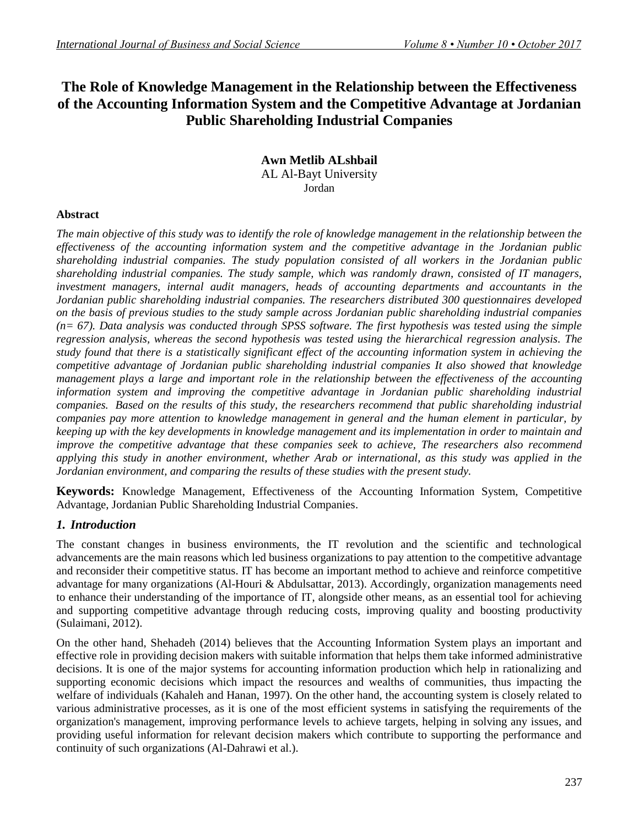# **The Role of Knowledge Management in the Relationship between the Effectiveness of the Accounting Information System and the Competitive Advantage at Jordanian Public Shareholding Industrial Companies**

#### **Awn Metlib ALshbail** AL Al-Bayt University Jordan

### **Abstract**

*The main objective of this study was to identify the role of knowledge management in the relationship between the effectiveness of the accounting information system and the competitive advantage in the Jordanian public shareholding industrial companies. The study population consisted of all workers in the Jordanian public shareholding industrial companies. The study sample, which was randomly drawn, consisted of IT managers, investment managers, internal audit managers, heads of accounting departments and accountants in the Jordanian public shareholding industrial companies. The researchers distributed 300 questionnaires developed on the basis of previous studies to the study sample across Jordanian public shareholding industrial companies (n= 67). Data analysis was conducted through SPSS software. The first hypothesis was tested using the simple regression analysis, whereas the second hypothesis was tested using the hierarchical regression analysis. The study found that there is a statistically significant effect of the accounting information system in achieving the competitive advantage of Jordanian public shareholding industrial companies It also showed that knowledge management plays a large and important role in the relationship between the effectiveness of the accounting information system and improving the competitive advantage in Jordanian public shareholding industrial companies. Based on the results of this study, the researchers recommend that public shareholding industrial companies pay more attention to knowledge management in general and the human element in particular, by keeping up with the key developments in knowledge management and its implementation in order to maintain and improve the competitive advantage that these companies seek to achieve, The researchers also recommend applying this study in another environment, whether Arab or international, as this study was applied in the Jordanian environment, and comparing the results of these studies with the present study.*

**Keywords:** Knowledge Management, Effectiveness of the Accounting Information System, Competitive Advantage, Jordanian Public Shareholding Industrial Companies.

# *1. Introduction*

The constant changes in business environments, the IT revolution and the scientific and technological advancements are the main reasons which led business organizations to pay attention to the competitive advantage and reconsider their competitive status. IT has become an important method to achieve and reinforce competitive advantage for many organizations (Al-Houri & Abdulsattar, 2013). Accordingly, organization managements need to enhance their understanding of the importance of IT, alongside other means, as an essential tool for achieving and supporting competitive advantage through reducing costs, improving quality and boosting productivity (Sulaimani, 2012).

On the other hand, Shehadeh (2014) believes that the Accounting Information System plays an important and effective role in providing decision makers with suitable information that helps them take informed administrative decisions. It is one of the major systems for accounting information production which help in rationalizing and supporting economic decisions which impact the resources and wealths of communities, thus impacting the welfare of individuals (Kahaleh and Hanan, 1997). On the other hand, the accounting system is closely related to various administrative processes, as it is one of the most efficient systems in satisfying the requirements of the organization's management, improving performance levels to achieve targets, helping in solving any issues, and providing useful information for relevant decision makers which contribute to supporting the performance and continuity of such organizations (Al-Dahrawi et al.).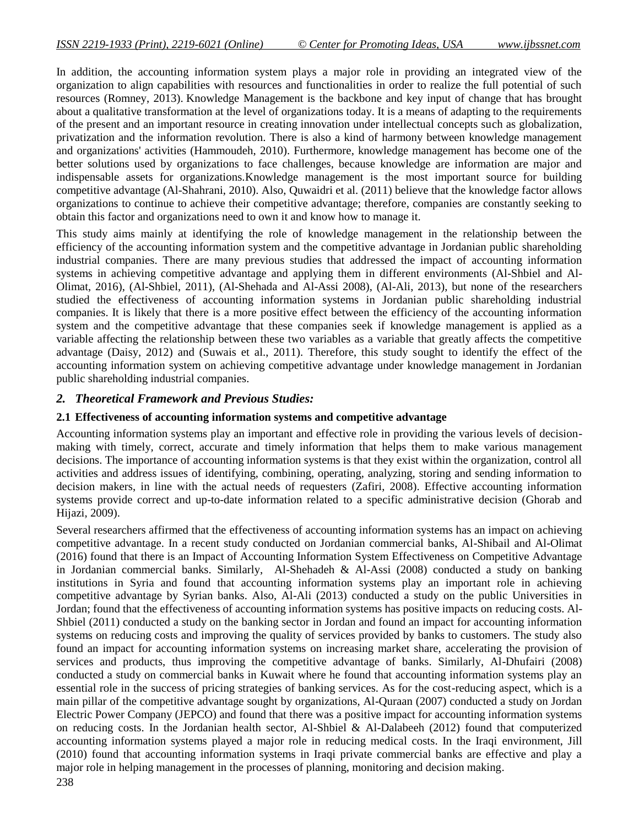In addition, the accounting information system plays a major role in providing an integrated view of the organization to align capabilities with resources and functionalities in order to realize the full potential of such resources (Romney, 2013). Knowledge Management is the backbone and key input of change that has brought about a qualitative transformation at the level of organizations today. It is a means of adapting to the requirements of the present and an important resource in creating innovation under intellectual concepts such as globalization, privatization and the information revolution. There is also a kind of harmony between knowledge management and organizations' activities (Hammoudeh, 2010). Furthermore, knowledge management has become one of the better solutions used by organizations to face challenges, because knowledge are information are major and indispensable assets for organizations.Knowledge management is the most important source for building competitive advantage (Al-Shahrani, 2010). Also, Quwaidri et al. (2011) believe that the knowledge factor allows organizations to continue to achieve their competitive advantage; therefore, companies are constantly seeking to obtain this factor and organizations need to own it and know how to manage it.

This study aims mainly at identifying the role of knowledge management in the relationship between the efficiency of the accounting information system and the competitive advantage in Jordanian public shareholding industrial companies. There are many previous studies that addressed the impact of accounting information systems in achieving competitive advantage and applying them in different environments (Al-Shbiel and Al-Olimat, 2016), (Al-Shbiel, 2011), (Al-Shehada and Al-Assi 2008), (Al-Ali, 2013), but none of the researchers studied the effectiveness of accounting information systems in Jordanian public shareholding industrial companies. It is likely that there is a more positive effect between the efficiency of the accounting information system and the competitive advantage that these companies seek if knowledge management is applied as a variable affecting the relationship between these two variables as a variable that greatly affects the competitive advantage (Daisy, 2012) and (Suwais et al., 2011). Therefore, this study sought to identify the effect of the accounting information system on achieving competitive advantage under knowledge management in Jordanian public shareholding industrial companies.

### *2. Theoretical Framework and Previous Studies:*

### **2.1 Effectiveness of accounting information systems and competitive advantage**

Accounting information systems play an important and effective role in providing the various levels of decisionmaking with timely, correct, accurate and timely information that helps them to make various management decisions. The importance of accounting information systems is that they exist within the organization, control all activities and address issues of identifying, combining, operating, analyzing, storing and sending information to decision makers, in line with the actual needs of requesters (Zafiri, 2008). Effective accounting information systems provide correct and up-to-date information related to a specific administrative decision (Ghorab and Hijazi, 2009).

Several researchers affirmed that the effectiveness of accounting information systems has an impact on achieving competitive advantage. In a recent study conducted on Jordanian commercial banks, Al-Shibail and Al-Olimat (2016) found that there is an Impact of Accounting Information System Effectiveness on Competitive Advantage in Jordanian commercial banks. Similarly, Al-Shehadeh & Al-Assi (2008) conducted a study on banking institutions in Syria and found that accounting information systems play an important role in achieving competitive advantage by Syrian banks. Also, Al-Ali (2013) conducted a study on the public Universities in Jordan; found that the effectiveness of accounting information systems has positive impacts on reducing costs. Al-Shbiel (2011) conducted a study on the banking sector in Jordan and found an impact for accounting information systems on reducing costs and improving the quality of services provided by banks to customers. The study also found an impact for accounting information systems on increasing market share, accelerating the provision of services and products, thus improving the competitive advantage of banks. Similarly, Al-Dhufairi (2008) conducted a study on commercial banks in Kuwait where he found that accounting information systems play an essential role in the success of pricing strategies of banking services. As for the cost-reducing aspect, which is a main pillar of the competitive advantage sought by organizations, Al-Quraan (2007) conducted a study on Jordan Electric Power Company (JEPCO) and found that there was a positive impact for accounting information systems on reducing costs. In the Jordanian health sector, Al-Shbiel & Al-Dalabeeh (2012) found that computerized accounting information systems played a major role in reducing medical costs. In the Iraqi environment, Jill (2010) found that accounting information systems in Iraqi private commercial banks are effective and play a major role in helping management in the processes of planning, monitoring and decision making.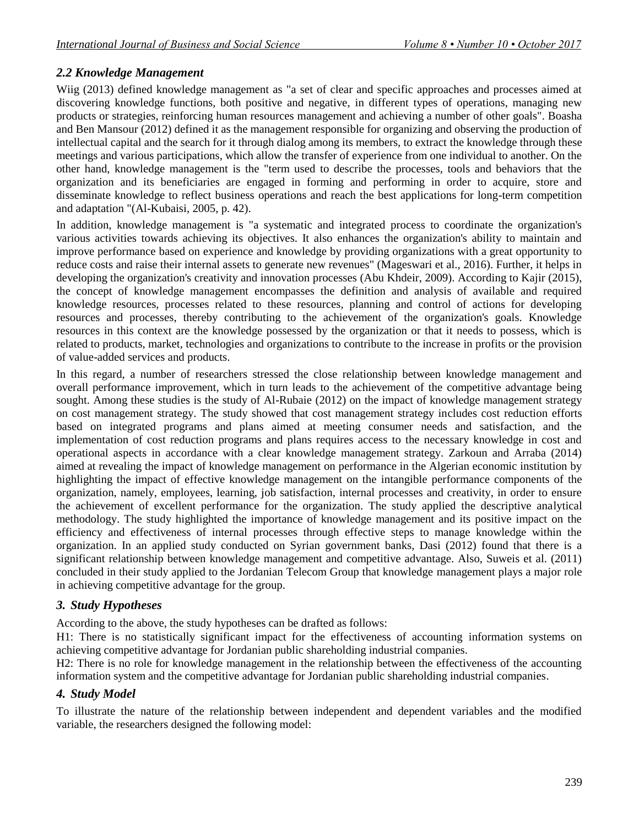# *2.2 Knowledge Management*

Wiig (2013) defined knowledge management as "a set of clear and specific approaches and processes aimed at discovering knowledge functions, both positive and negative, in different types of operations, managing new products or strategies, reinforcing human resources management and achieving a number of other goals". Boasha and Ben Mansour (2012) defined it as the management responsible for organizing and observing the production of intellectual capital and the search for it through dialog among its members, to extract the knowledge through these meetings and various participations, which allow the transfer of experience from one individual to another. On the other hand, knowledge management is the "term used to describe the processes, tools and behaviors that the organization and its beneficiaries are engaged in forming and performing in order to acquire, store and disseminate knowledge to reflect business operations and reach the best applications for long-term competition and adaptation "(Al-Kubaisi, 2005, p. 42).

In addition, knowledge management is "a systematic and integrated process to coordinate the organization's various activities towards achieving its objectives. It also enhances the organization's ability to maintain and improve performance based on experience and knowledge by providing organizations with a great opportunity to reduce costs and raise their internal assets to generate new revenues" (Mageswari et al., 2016). Further, it helps in developing the organization's creativity and innovation processes (Abu Khdeir, 2009). According to Kajir (2015), the concept of knowledge management encompasses the definition and analysis of available and required knowledge resources, processes related to these resources, planning and control of actions for developing resources and processes, thereby contributing to the achievement of the organization's goals. Knowledge resources in this context are the knowledge possessed by the organization or that it needs to possess, which is related to products, market, technologies and organizations to contribute to the increase in profits or the provision of value-added services and products.

In this regard, a number of researchers stressed the close relationship between knowledge management and overall performance improvement, which in turn leads to the achievement of the competitive advantage being sought. Among these studies is the study of Al-Rubaie (2012) on the impact of knowledge management strategy on cost management strategy. The study showed that cost management strategy includes cost reduction efforts based on integrated programs and plans aimed at meeting consumer needs and satisfaction, and the implementation of cost reduction programs and plans requires access to the necessary knowledge in cost and operational aspects in accordance with a clear knowledge management strategy. Zarkoun and Arraba (2014) aimed at revealing the impact of knowledge management on performance in the Algerian economic institution by highlighting the impact of effective knowledge management on the intangible performance components of the organization, namely, employees, learning, job satisfaction, internal processes and creativity, in order to ensure the achievement of excellent performance for the organization. The study applied the descriptive analytical methodology. The study highlighted the importance of knowledge management and its positive impact on the efficiency and effectiveness of internal processes through effective steps to manage knowledge within the organization. In an applied study conducted on Syrian government banks, Dasi (2012) found that there is a significant relationship between knowledge management and competitive advantage. Also, Suweis et al. (2011) concluded in their study applied to the Jordanian Telecom Group that knowledge management plays a major role in achieving competitive advantage for the group.

# *3. Study Hypotheses*

According to the above, the study hypotheses can be drafted as follows:

H1: There is no statistically significant impact for the effectiveness of accounting information systems on achieving competitive advantage for Jordanian public shareholding industrial companies.

H2: There is no role for knowledge management in the relationship between the effectiveness of the accounting information system and the competitive advantage for Jordanian public shareholding industrial companies.

# *4. Study Model*

To illustrate the nature of the relationship between independent and dependent variables and the modified variable, the researchers designed the following model: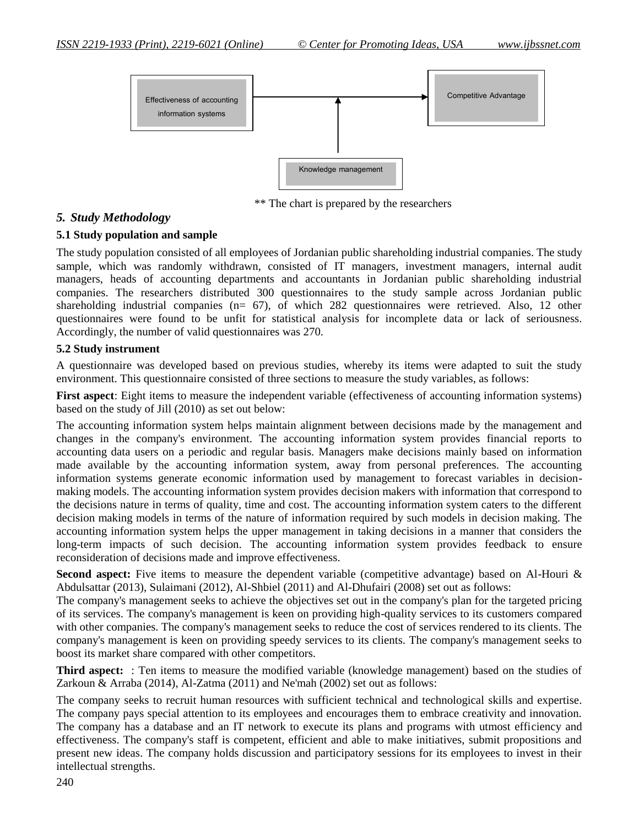

\*\* The chart is prepared by the researchers

### *5. Study Methodology*

#### **5.1 Study population and sample**

The study population consisted of all employees of Jordanian public shareholding industrial companies. The study sample, which was randomly withdrawn, consisted of IT managers, investment managers, internal audit managers, heads of accounting departments and accountants in Jordanian public shareholding industrial companies. The researchers distributed 300 questionnaires to the study sample across Jordanian public shareholding industrial companies (n= 67), of which 282 questionnaires were retrieved. Also, 12 other questionnaires were found to be unfit for statistical analysis for incomplete data or lack of seriousness. Accordingly, the number of valid questionnaires was 270.

#### **5.2 Study instrument**

A questionnaire was developed based on previous studies, whereby its items were adapted to suit the study environment. This questionnaire consisted of three sections to measure the study variables, as follows:

**First aspect**: Eight items to measure the independent variable (effectiveness of accounting information systems) based on the study of Jill (2010) as set out below:

The accounting information system helps maintain alignment between decisions made by the management and changes in the company's environment. The accounting information system provides financial reports to accounting data users on a periodic and regular basis. Managers make decisions mainly based on information made available by the accounting information system, away from personal preferences. The accounting information systems generate economic information used by management to forecast variables in decisionmaking models. The accounting information system provides decision makers with information that correspond to the decisions nature in terms of quality, time and cost. The accounting information system caters to the different decision making models in terms of the nature of information required by such models in decision making. The accounting information system helps the upper management in taking decisions in a manner that considers the long-term impacts of such decision. The accounting information system provides feedback to ensure reconsideration of decisions made and improve effectiveness.

**Second aspect:** Five items to measure the dependent variable (competitive advantage) based on Al-Houri & Abdulsattar (2013), Sulaimani (2012), Al-Shbiel (2011) and Al-Dhufairi (2008) set out as follows:

The company's management seeks to achieve the objectives set out in the company's plan for the targeted pricing of its services. The company's management is keen on providing high-quality services to its customers compared with other companies. The company's management seeks to reduce the cost of services rendered to its clients. The company's management is keen on providing speedy services to its clients. The company's management seeks to boost its market share compared with other competitors.

**Third aspect:** : Ten items to measure the modified variable (knowledge management) based on the studies of Zarkoun & Arraba (2014), Al-Zatma (2011) and Ne'mah (2002) set out as follows:

The company seeks to recruit human resources with sufficient technical and technological skills and expertise. The company pays special attention to its employees and encourages them to embrace creativity and innovation. The company has a database and an IT network to execute its plans and programs with utmost efficiency and effectiveness. The company's staff is competent, efficient and able to make initiatives, submit propositions and present new ideas. The company holds discussion and participatory sessions for its employees to invest in their intellectual strengths.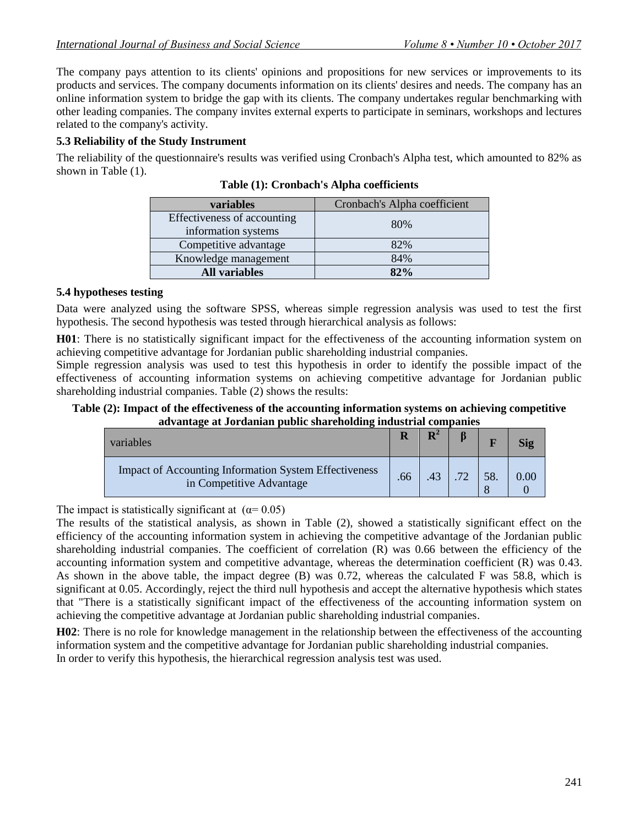The company pays attention to its clients' opinions and propositions for new services or improvements to its products and services. The company documents information on its clients' desires and needs. The company has an online information system to bridge the gap with its clients. The company undertakes regular benchmarking with other leading companies. The company invites external experts to participate in seminars, workshops and lectures related to the company's activity.

# **5.3 Reliability of the Study Instrument**

The reliability of the questionnaire's results was verified using Cronbach's Alpha test, which amounted to 82% as shown in Table (1).

| variables                                          | Cronbach's Alpha coefficient |  |  |  |  |
|----------------------------------------------------|------------------------------|--|--|--|--|
| Effectiveness of accounting<br>information systems | 80%                          |  |  |  |  |
| Competitive advantage                              | 82%                          |  |  |  |  |
| Knowledge management                               | 84%                          |  |  |  |  |
| <b>All variables</b>                               | 82%                          |  |  |  |  |

**Table (1): Cronbach's Alpha coefficients** 

### **5.4 hypotheses testing**

Data were analyzed using the software SPSS, whereas simple regression analysis was used to test the first hypothesis. The second hypothesis was tested through hierarchical analysis as follows:

**H01**: There is no statistically significant impact for the effectiveness of the accounting information system on achieving competitive advantage for Jordanian public shareholding industrial companies.

Simple regression analysis was used to test this hypothesis in order to identify the possible impact of the effectiveness of accounting information systems on achieving competitive advantage for Jordanian public shareholding industrial companies. Table (2) shows the results:

#### **Table (2): Impact of the effectiveness of the accounting information systems on achieving competitive advantage at Jordanian public shareholding industrial companies**

| variables                                                                                |     | ${\bf D}^2$ |    |      |
|------------------------------------------------------------------------------------------|-----|-------------|----|------|
| <b>Impact of Accounting Information System Effectiveness</b><br>in Competitive Advantage | .66 | $\Delta$ 3  | 58 | 0.00 |

The impact is statistically significant at  $(\alpha = 0.05)$ 

The results of the statistical analysis, as shown in Table (2), showed a statistically significant effect on the efficiency of the accounting information system in achieving the competitive advantage of the Jordanian public shareholding industrial companies. The coefficient of correlation (R) was 0.66 between the efficiency of the accounting information system and competitive advantage, whereas the determination coefficient (R) was 0.43. As shown in the above table, the impact degree (B) was 0.72, whereas the calculated F was 58.8, which is significant at 0.05. Accordingly, reject the third null hypothesis and accept the alternative hypothesis which states that "There is a statistically significant impact of the effectiveness of the accounting information system on achieving the competitive advantage at Jordanian public shareholding industrial companies.

**H02**: There is no role for knowledge management in the relationship between the effectiveness of the accounting information system and the competitive advantage for Jordanian public shareholding industrial companies. In order to verify this hypothesis, the hierarchical regression analysis test was used.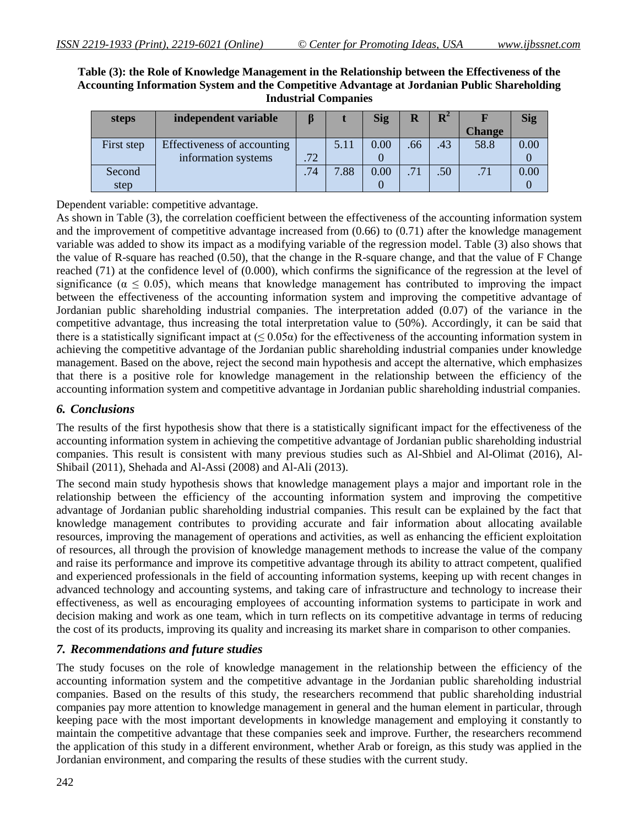#### **Table (3): the Role of Knowledge Management in the Relationship between the Effectiveness of the Accounting Information System and the Competitive Advantage at Jordanian Public Shareholding Industrial Companies**

| steps      | independent variable        |     |      | <b>Sig</b> |     | $\mathbf{R}^2$   |               | <b>Sig</b> |
|------------|-----------------------------|-----|------|------------|-----|------------------|---------------|------------|
|            |                             |     |      |            |     |                  | <b>Change</b> |            |
| First step | Effectiveness of accounting |     | 5.11 | 0.00       | .66 | .43              | 58.8          | 0.00       |
|            | information systems         | .72 |      |            |     |                  |               |            |
| Second     |                             | .74 | 7.88 | 0.00       | .71 | .50 <sub>1</sub> | .71           | 0.00       |
| step       |                             |     |      |            |     |                  |               |            |

Dependent variable: competitive advantage.

As shown in Table (3), the correlation coefficient between the effectiveness of the accounting information system and the improvement of competitive advantage increased from (0.66) to (0.71) after the knowledge management variable was added to show its impact as a modifying variable of the regression model. Table (3) also shows that the value of R-square has reached (0.50), that the change in the R-square change, and that the value of F Change reached (71) at the confidence level of (0.000), which confirms the significance of the regression at the level of significance ( $\alpha \leq 0.05$ ), which means that knowledge management has contributed to improving the impact between the effectiveness of the accounting information system and improving the competitive advantage of Jordanian public shareholding industrial companies. The interpretation added (0.07) of the variance in the competitive advantage, thus increasing the total interpretation value to (50%). Accordingly, it can be said that there is a statistically significant impact at  $( \leq 0.05\alpha)$  for the effectiveness of the accounting information system in achieving the competitive advantage of the Jordanian public shareholding industrial companies under knowledge management. Based on the above, reject the second main hypothesis and accept the alternative, which emphasizes that there is a positive role for knowledge management in the relationship between the efficiency of the accounting information system and competitive advantage in Jordanian public shareholding industrial companies.

# *6. Conclusions*

The results of the first hypothesis show that there is a statistically significant impact for the effectiveness of the accounting information system in achieving the competitive advantage of Jordanian public shareholding industrial companies. This result is consistent with many previous studies such as Al-Shbiel and Al-Olimat (2016), Al-Shibail (2011), Shehada and Al-Assi (2008) and Al-Ali (2013).

The second main study hypothesis shows that knowledge management plays a major and important role in the relationship between the efficiency of the accounting information system and improving the competitive advantage of Jordanian public shareholding industrial companies. This result can be explained by the fact that knowledge management contributes to providing accurate and fair information about allocating available resources, improving the management of operations and activities, as well as enhancing the efficient exploitation of resources, all through the provision of knowledge management methods to increase the value of the company and raise its performance and improve its competitive advantage through its ability to attract competent, qualified and experienced professionals in the field of accounting information systems, keeping up with recent changes in advanced technology and accounting systems, and taking care of infrastructure and technology to increase their effectiveness, as well as encouraging employees of accounting information systems to participate in work and decision making and work as one team, which in turn reflects on its competitive advantage in terms of reducing the cost of its products, improving its quality and increasing its market share in comparison to other companies.

# *7. Recommendations and future studies*

The study focuses on the role of knowledge management in the relationship between the efficiency of the accounting information system and the competitive advantage in the Jordanian public shareholding industrial companies. Based on the results of this study, the researchers recommend that public shareholding industrial companies pay more attention to knowledge management in general and the human element in particular, through keeping pace with the most important developments in knowledge management and employing it constantly to maintain the competitive advantage that these companies seek and improve. Further, the researchers recommend the application of this study in a different environment, whether Arab or foreign, as this study was applied in the Jordanian environment, and comparing the results of these studies with the current study.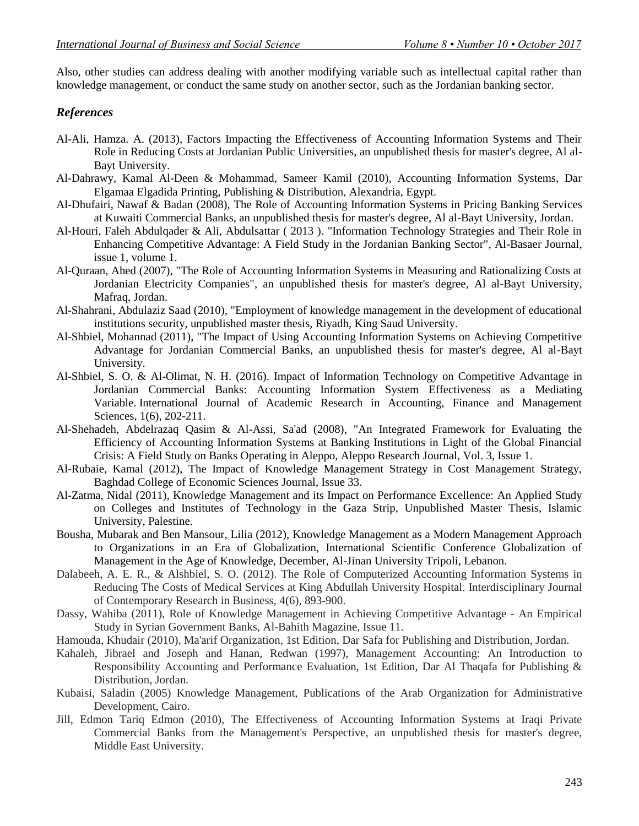Also, other studies can address dealing with another modifying variable such as intellectual capital rather than knowledge management, or conduct the same study on another sector, such as the Jordanian banking sector.

# *References*

- Al-Ali, Hamza. A. (2013), Factors Impacting the Effectiveness of Accounting Information Systems and Their Role in Reducing Costs at Jordanian Public Universities, an unpublished thesis for master's degree, Al al-Bayt University.
- Al-Dahrawy, Kamal Al-Deen & Mohammad, Sameer Kamil (2010), Accounting Information Systems, Dar Elgamaa Elgadida Printing, Publishing & Distribution, Alexandria, Egypt.
- Al-Dhufairi, Nawaf & Badan (2008), The Role of Accounting Information Systems in Pricing Banking Services at Kuwaiti Commercial Banks, an unpublished thesis for master's degree, Al al-Bayt University, Jordan.
- Al-Houri, Faleh Abdulqader & Ali, Abdulsattar ( 2013 ). "Information Technology Strategies and Their Role in Enhancing Competitive Advantage: A Field Study in the Jordanian Banking Sector", Al-Basaer Journal, issue 1, volume 1.
- Al-Quraan, Ahed (2007), "The Role of Accounting Information Systems in Measuring and Rationalizing Costs at Jordanian Electricity Companies", an unpublished thesis for master's degree, Al al-Bayt University, Mafraq, Jordan.
- Al-Shahrani, Abdulaziz Saad (2010), "Employment of knowledge management in the development of educational institutions security, unpublished master thesis, Riyadh, King Saud University.
- Al-Shbiel, Mohannad (2011), "The Impact of Using Accounting Information Systems on Achieving Competitive Advantage for Jordanian Commercial Banks, an unpublished thesis for master's degree, Al al-Bayt University.
- Al-Shbiel, S. O. & Al-Olimat, N. H. (2016). Impact of Information Technology on Competitive Advantage in Jordanian Commercial Banks: Accounting Information System Effectiveness as a Mediating Variable. International Journal of Academic Research in Accounting, Finance and Management Sciences, 1(6), 202-211.
- Al-Shehadeh, Abdelrazaq Qasim & Al-Assi, Sa'ad (2008), "An Integrated Framework for Evaluating the Efficiency of Accounting Information Systems at Banking Institutions in Light of the Global Financial Crisis: A Field Study on Banks Operating in Aleppo, Aleppo Research Journal, Vol. 3, Issue 1.
- Al-Rubaie, Kamal (2012), The Impact of Knowledge Management Strategy in Cost Management Strategy, Baghdad College of Economic Sciences Journal, Issue 33.
- Al-Zatma, Nidal (2011), Knowledge Management and its Impact on Performance Excellence: An Applied Study on Colleges and Institutes of Technology in the Gaza Strip, Unpublished Master Thesis, Islamic University, Palestine.
- Bousha, Mubarak and Ben Mansour, Lilia (2012), Knowledge Management as a Modern Management Approach to Organizations in an Era of Globalization, International Scientific Conference Globalization of Management in the Age of Knowledge, December, Al-Jinan University Tripoli, Lebanon.
- Dalabeeh, A. E. R., & Alshbiel, S. O. (2012). The Role of Computerized Accounting Information Systems in Reducing The Costs of Medical Services at King Abdullah University Hospital. Interdisciplinary Journal of Contemporary Research in Business, 4(6), 893-900.
- Dassy, Wahiba (2011), Role of Knowledge Management in Achieving Competitive Advantage An Empirical Study in Syrian Government Banks, Al-Bahith Magazine, Issue 11.
- Hamouda, Khudair (2010), Ma'arif Organization, 1st Edition, Dar Safa for Publishing and Distribution, Jordan.
- Kahaleh, Jibrael and Joseph and Hanan, Redwan (1997), Management Accounting: An Introduction to Responsibility Accounting and Performance Evaluation, 1st Edition, Dar Al Thaqafa for Publishing & Distribution, Jordan.
- Kubaisi, Saladin (2005) Knowledge Management, Publications of the Arab Organization for Administrative Development, Cairo.
- Jill, Edmon Tariq Edmon (2010), The Effectiveness of Accounting Information Systems at Iraqi Private Commercial Banks from the Management's Perspective, an unpublished thesis for master's degree, Middle East University.